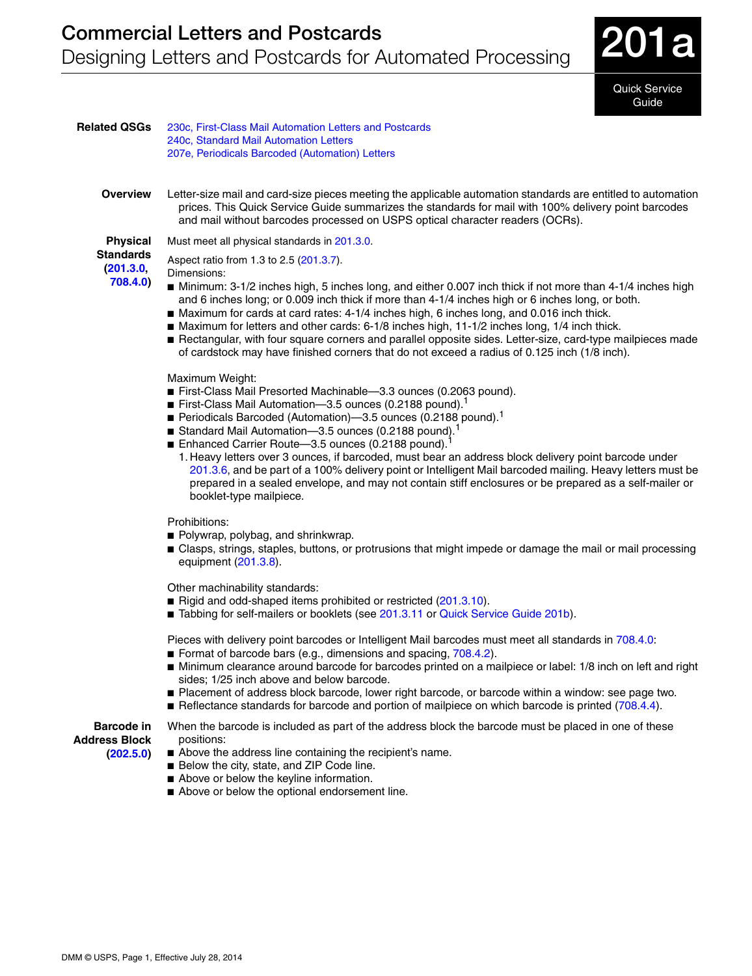

Quick Service Guide

| <b>Related QSGs</b>                                          | 230c, First-Class Mail Automation Letters and Postcards<br>240c, Standard Mail Automation Letters<br>207e, Periodicals Barcoded (Automation) Letters                                                                                                                                                                                                                                                                                                                                                                                                                                                                                                                                                                         |
|--------------------------------------------------------------|------------------------------------------------------------------------------------------------------------------------------------------------------------------------------------------------------------------------------------------------------------------------------------------------------------------------------------------------------------------------------------------------------------------------------------------------------------------------------------------------------------------------------------------------------------------------------------------------------------------------------------------------------------------------------------------------------------------------------|
| <b>Overview</b>                                              | Letter-size mail and card-size pieces meeting the applicable automation standards are entitled to automation<br>prices. This Quick Service Guide summarizes the standards for mail with 100% delivery point barcodes<br>and mail without barcodes processed on USPS optical character readers (OCRs).                                                                                                                                                                                                                                                                                                                                                                                                                        |
| <b>Physical</b><br><b>Standards</b><br>(201.3.0,<br>708.4.0) | Must meet all physical standards in 201.3.0.                                                                                                                                                                                                                                                                                                                                                                                                                                                                                                                                                                                                                                                                                 |
|                                                              | Aspect ratio from 1.3 to 2.5 (201.3.7).<br>Dimensions:<br>Minimum: 3-1/2 inches high, 5 inches long, and either 0.007 inch thick if not more than 4-1/4 inches high<br>and 6 inches long; or 0.009 inch thick if more than 4-1/4 inches high or 6 inches long, or both.<br>■ Maximum for cards at card rates: 4-1/4 inches high, 6 inches long, and 0.016 inch thick.<br>■ Maximum for letters and other cards: 6-1/8 inches high, 11-1/2 inches long, 1/4 inch thick.<br>Rectangular, with four square corners and parallel opposite sides. Letter-size, card-type mailpieces made<br>of cardstock may have finished corners that do not exceed a radius of 0.125 inch (1/8 inch).                                          |
|                                                              | Maximum Weight:<br>First-Class Mail Presorted Machinable-3.3 ounces (0.2063 pound).<br>First-Class Mail Automation-3.5 ounces (0.2188 pound).<br>Periodicals Barcoded (Automation)-3.5 ounces (0.2188 pound). <sup>1</sup><br>Standard Mail Automation-3.5 ounces (0.2188 pound). <sup>1</sup><br>■ Enhanced Carrier Route-3.5 ounces (0.2188 pound). <sup>1</sup><br>1. Heavy letters over 3 ounces, if barcoded, must bear an address block delivery point barcode under<br>201.3.6, and be part of a 100% delivery point or Intelligent Mail barcoded mailing. Heavy letters must be<br>prepared in a sealed envelope, and may not contain stiff enclosures or be prepared as a self-mailer or<br>booklet-type mailpiece. |
|                                                              | Prohibitions:<br>Polywrap, polybag, and shrinkwrap.<br>■ Clasps, strings, staples, buttons, or protrusions that might impede or damage the mail or mail processing<br>equipment (201.3.8).                                                                                                                                                                                                                                                                                                                                                                                                                                                                                                                                   |
|                                                              | Other machinability standards:<br>Rigid and odd-shaped items prohibited or restricted (201.3.10).<br>■ Tabbing for self-mailers or booklets (see 201.3.11 or Quick Service Guide 201b).                                                                                                                                                                                                                                                                                                                                                                                                                                                                                                                                      |
|                                                              | Pieces with delivery point barcodes or Intelligent Mail barcodes must meet all standards in 708.4.0:<br>Format of barcode bars (e.g., dimensions and spacing, 708.4.2).<br>■ Minimum clearance around barcode for barcodes printed on a mailpiece or label: 1/8 inch on left and right<br>sides; 1/25 inch above and below barcode.<br>■ Placement of address block barcode, lower right barcode, or barcode within a window: see page two.<br>■ Reflectance standards for barcode and portion of mailpiece on which barcode is printed (708.4.4).                                                                                                                                                                           |
| <b>Barcode in</b><br><b>Address Block</b><br>(202.5.0)       | When the barcode is included as part of the address block the barcode must be placed in one of these<br>positions:<br>Above the address line containing the recipient's name.<br>Below the city, state, and ZIP Code line.<br>Above or below the keyline information.                                                                                                                                                                                                                                                                                                                                                                                                                                                        |

■ Above or below the optional endorsement line.